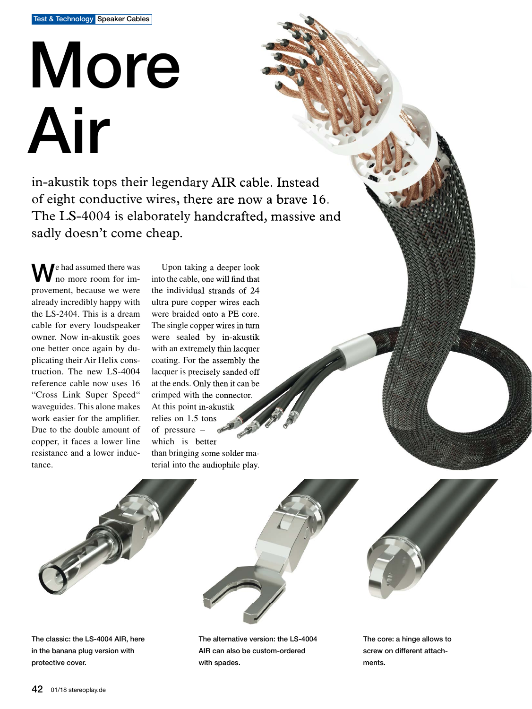## More Air

in-akustik tops their legendary AIR cable. Instead of eight conductive wires, there are now a brave 16. The LS-4004 is elaborately handcrafted, massive and sadly doesn't come cheap.

We had assumed there was no more room for improvement, because we were already incredibly happy with the LS-2404. This is a dream cable for every loudspeaker owner. Now in-akustik goes one better once again by duplicating their Air Helix construction. The new LS-4004 reference cable now uses 16 "Cross Link Super Speed" waveguides. This alone makes work easier for the amplifier. Due to the double amount of copper, it faces a lower line resistance and a lower inductance.

Upon taking a deeper look into the cable, one will find that the individual strands of 24 ultra pure copper wires each were braided onto a PE core. The single copper wires in turn were sealed by in-akustik with an extremely thin lacquer coating. For the assembly the lacquer is precisely sanded off at the ends. Only then it can be crimped with the connector. At this point in-akustik relies on 1.5 tons of pressure – which is better than bringing some solder material into the audiophile play.





The classic: the LS-4004 AIR, here in the banana plug version with protective cover.

The alternative version: the LS-4004 AIR can also be custom-ordered with spades.

The core: a hinge allows to screw on different attachments.